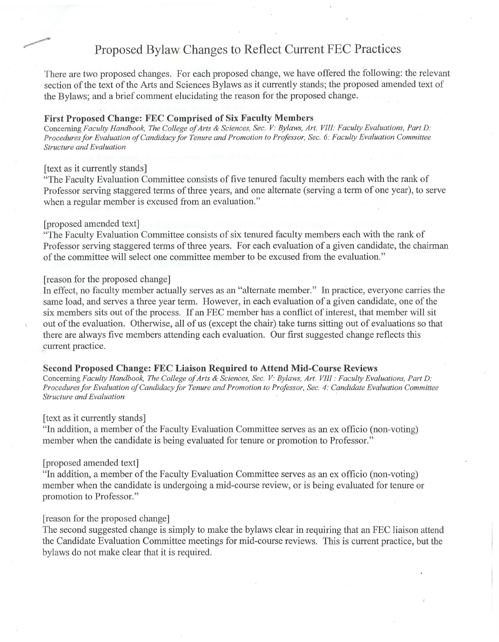# Proposed Bylaw Changes to Reflect Current FEC Practices

There are two proposed changes. For each proposed change, we have offered the following: the relevant section of the text of the Arts and Sciences Bylaws as it currently stands; the proposed amended text of the Bylaws; and a brief comment elucidating the reason for the proposed change.

### **First Proposed Change: FEC Comprised of Six Faculty Members**

Concerning *Faculty Handbook, The College of Arts & Sciences, Sec. V: Bylaws, Art. VIII: Faculty Evaluations, Part D. Procedures for Evaluation of Candidacy for Tenure and Promotion to Professor, Sec. 6: Faculty Evaluation Committee Structure and Evaluation* 

## [text as it currently stands]

"The Faculty Evaluation Committee consists of five tenured faculty members each with the rank of Professor serving staggered terms of three years, and one alternate (serving a term of one year), to serve when a regular member is excused from an evaluation."

### [proposed amended text]

"The Faculty Evaluation Committee consists of six tenured faculty members each with the rank of Professor serving staggered terms of three years. For each evaluation of a given candidate, the chairman of the committee will select one committee member to be excused from the evaluation."

# [ reason for the proposed change]

In effect, no faculty member actually serves as an "alternate member." In practice, everyone carries the same load, and serves a three year term. However, in each evaluation of a given candidate, one of the six members sits out of the process. If an FEC member has a conflict of interest, that member will sit out of the evaluation. Otherwise, all of us (except the chair) take turns sitting out of evaluations so that there are always five members attending each evaluation. Our first suggested change reflects this \_current practice.

#### **Second Proposed Change: FEC Liaison Required to Attend Mid-Course Reviews**

Concerning *Faculty Handbook, The College of Arts & Sciences, Sec. V: Bylaws, Art. VIII: Faculty Evaluations, Part D: Procedures for Evaluation of Candidacy for Tenure and Promotion to Professor, Sec. 4: Candidate Evaluation Committee Structure and Evaluation* 

## [text as it currently stands]

"In addition, a member of the Faculty Evaluation Committee serves as an ex officio (non-voting) member when the candidate is being evaluated for tenure or promotion to Professor."

# [proposed amended text]

"In addition, a member of the Faculty Evaluation Committee serves as an ex officio (non-voting) member when the candidate is undergoing a mid-course review, or is being evaluated for tenure or promotion to Professor."

# [reason for the proposed change]

The second suggested change is simply to make the bylaws clear in requiring that an FEC liaison attend the Candidate Evaluation Committee meetings for mid-course reviews. This is current practice, but the bylaws do not make clear that it is required.